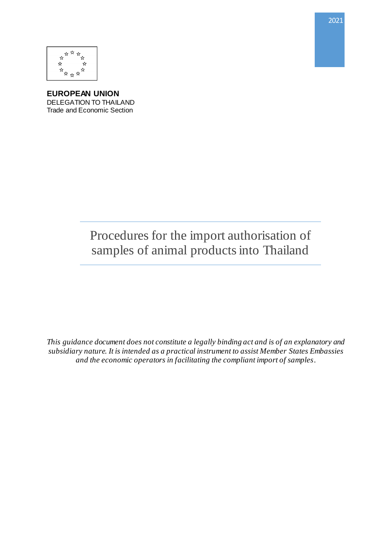

**EUROPEAN UNION** DELEGATION TO THAILAND Trade and Economic Section

> Procedures for the import authorisation of samples of animal products into Thailand

*This guidance document does not constitute a legally binding act and is of an explanatory and subsidiary nature. It is intended as a practical instrument to assist Member States Embassies and the economic operators in facilitating the compliant import of samples.*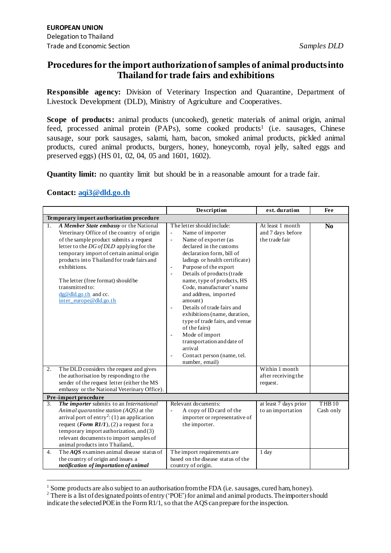## **Procedures for the import authorization of samples of animal products into Thailand for trade fairs and exhibitions**

**Responsible agency:** Division of Veterinary Inspection and Quarantine, Department of Livestock Development (DLD), Ministry of Agriculture and Cooperatives.

**Scope of products:** animal products (uncooked), genetic materials of animal origin, animal feed, processed animal protein (PAPs), some cooked products<sup>1</sup> (i.e. sausages, Chinese sausage, sour pork sausages, salami, ham, bacon, smoked animal products, pickled animal products, cured animal products, burgers, honey, honeycomb, royal jelly, salted eggs and preserved eggs) (HS 01, 02, 04, 05 and 1601, 1602).

**Quantity limit:** no quantity limit but should be in a reasonable amount for a trade fair.

## **Contact[: aqi3@dld.go.th](mailto:aqi3@dld.go.th)**

1

|                                          |                                                                                                                                                                                                                                                                                                                                                                                                                                                | Description                                                                                                                                                                                                                                                                                                                                                                                                                                                                                                                                                                                                                                                        | est. duration                                                             | Fee                            |  |  |  |
|------------------------------------------|------------------------------------------------------------------------------------------------------------------------------------------------------------------------------------------------------------------------------------------------------------------------------------------------------------------------------------------------------------------------------------------------------------------------------------------------|--------------------------------------------------------------------------------------------------------------------------------------------------------------------------------------------------------------------------------------------------------------------------------------------------------------------------------------------------------------------------------------------------------------------------------------------------------------------------------------------------------------------------------------------------------------------------------------------------------------------------------------------------------------------|---------------------------------------------------------------------------|--------------------------------|--|--|--|
| Temporary import authorization procedure |                                                                                                                                                                                                                                                                                                                                                                                                                                                |                                                                                                                                                                                                                                                                                                                                                                                                                                                                                                                                                                                                                                                                    |                                                                           |                                |  |  |  |
| 1.<br>2.                                 | A Member State embassy or the National<br>Veterinary Office of the country of origin<br>of the sample product submits a request<br>letter to the DG of DLD applying for the<br>temporary import of certain animal origin<br>products into Thailand for trade fairs and<br>exhibitions.<br>The letter (free format) should be<br>transmitted to:<br>$dg@dld go.th$ and cc.<br>inter europe@dld.go.th<br>The DLD considers the request and gives | The letter should include:<br>Name of importer<br>$\mathbb{Z}^2$<br>Name of exporter (as<br>$\blacksquare$<br>declared in the customs<br>declaration form, bill of<br>ladings or health certificate)<br>Purpose of the export<br>$\overline{\phantom{a}}$<br>Details of products (trade<br>÷,<br>name, type of products, HS<br>Code, manufacturer's name<br>and address, imported<br>amount)<br>Details of trade fairs and<br>÷,<br>exhibitions (name, duration,<br>type of trade fairs, and venue<br>of the fairs)<br>Mode of import<br>$\blacksquare$<br>transportation and date of<br>arrival<br>Contact person (name, tel.<br>$\blacksquare$<br>number, email) | At least 1 month<br>and 7 days before<br>the trade fair<br>Within 1 month | N <sub>0</sub>                 |  |  |  |
|                                          | the authorisation by responding to the<br>sender of the request letter (either the MS<br>embassy or the National Veterinary Office).                                                                                                                                                                                                                                                                                                           |                                                                                                                                                                                                                                                                                                                                                                                                                                                                                                                                                                                                                                                                    | after receiving the<br>request.                                           |                                |  |  |  |
|                                          | Pre-import procedure                                                                                                                                                                                                                                                                                                                                                                                                                           |                                                                                                                                                                                                                                                                                                                                                                                                                                                                                                                                                                                                                                                                    |                                                                           |                                |  |  |  |
| 3.                                       | The importer submits to an International<br>Animal quarantine station $(AQS)$ at the<br>arrival port of entry <sup>2</sup> : (1) an application<br>request ( <i>Form R1/1</i> ), (2) a request for a<br>temporary import authorization, and (3)<br>relevant documents to import samples of<br>animal products into Thailand,.                                                                                                                  | Relevant documents:<br>A copy of ID card of the<br>÷,<br>importer or representative of<br>the importer.                                                                                                                                                                                                                                                                                                                                                                                                                                                                                                                                                            | at least 7 days prior<br>to an importation                                | THB <sub>10</sub><br>Cash only |  |  |  |
| 4.                                       | The $A\overline{Q}S$ examines animal disease status of<br>the country of origin and issues a<br>notification of importation of animal                                                                                                                                                                                                                                                                                                          | The import requirements are<br>based on the disease status of the<br>country of origin.                                                                                                                                                                                                                                                                                                                                                                                                                                                                                                                                                                            | 1 day                                                                     |                                |  |  |  |

 $<sup>1</sup>$  Some products are also subject to an authorisation from the FDA (i.e. sausages, cured ham, honey).</sup>

<sup>&</sup>lt;sup>2</sup> There is a list of designated points of entry ('POE') for animal and animal products. The importer should indicate the selected POE in the Form R1/1, so that the AQS can prepare for the inspection.